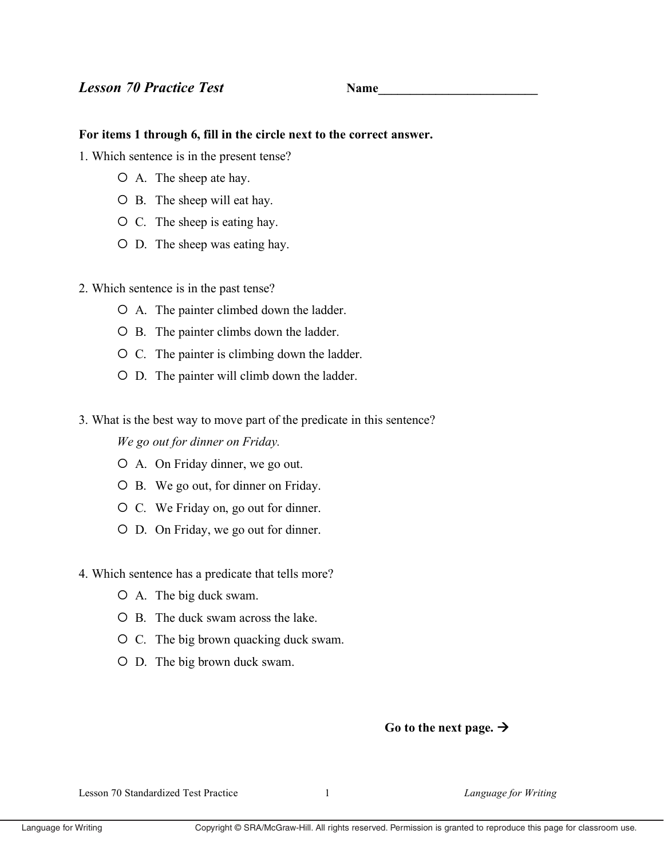## **Name**

## For items 1 through 6, fill in the circle next to the correct answer.

- 1. Which sentence is in the present tense?
	- O A. The sheep ate hay.
	- O B. The sheep will eat hay.
	- $\circ$  C. The sheep is eating hay.
	- O D. The sheep was eating hay.
- 2. Which sentence is in the past tense?
	- O A. The painter climbed down the ladder.
	- O B. The painter climbs down the ladder.
	- O C. The painter is climbing down the ladder.
	- O D. The painter will climb down the ladder.
- 3. What is the best way to move part of the predicate in this sentence?

We go out for dinner on Friday.

- O A. On Friday dinner, we go out.
- O B. We go out, for dinner on Friday.
- O C. We Friday on, go out for dinner.
- O D. On Friday, we go out for dinner.
- 4. Which sentence has a predicate that tells more?
	- O A. The big duck swam.
	- O B. The duck swam across the lake.
	- O C. The big brown quacking duck swam.
	- O D. The big brown duck swam.

## Go to the next page.  $\rightarrow$

Lesson 70 Standardized Test Practice

 $\mathbf{1}$ 

Language for Writing